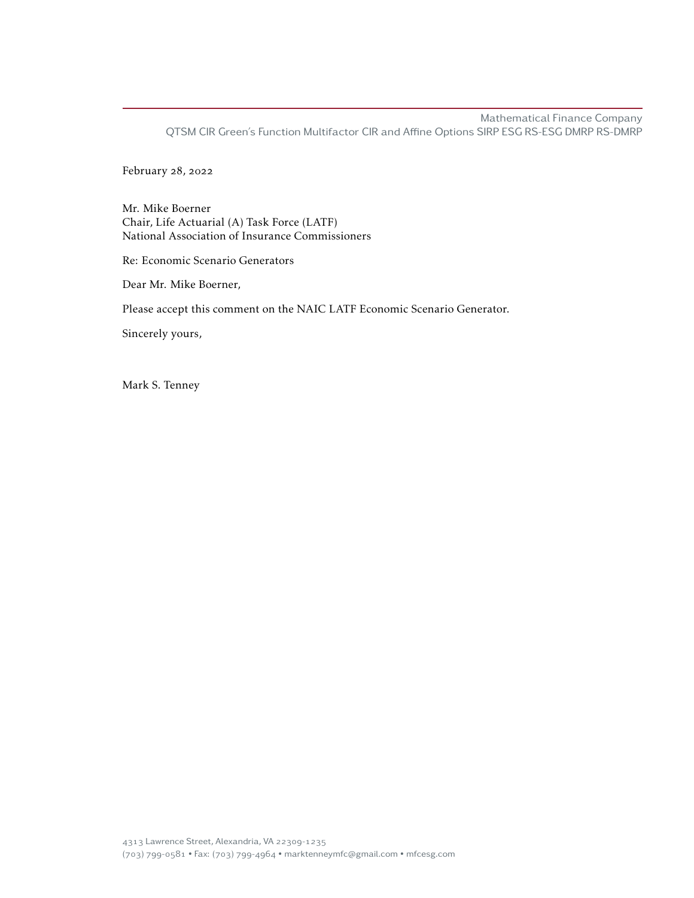Mathematical Finance Company QTSM CIR Green's Function Multifactor CIR and Affine Options SIRP ESG RS-ESG DMRP RS-DMRP

February 28, 2022

Mr. Mike Boerner Chair, Life Actuarial (A) Task Force (LATF) National Association of Insurance Commissioners

Re: Economic Scenario Generators

Dear Mr. Mike Boerner,

Please accept this comment on the NAIC LATF Economic Scenario Generator.

Sincerely yours,

Mark S. Tenney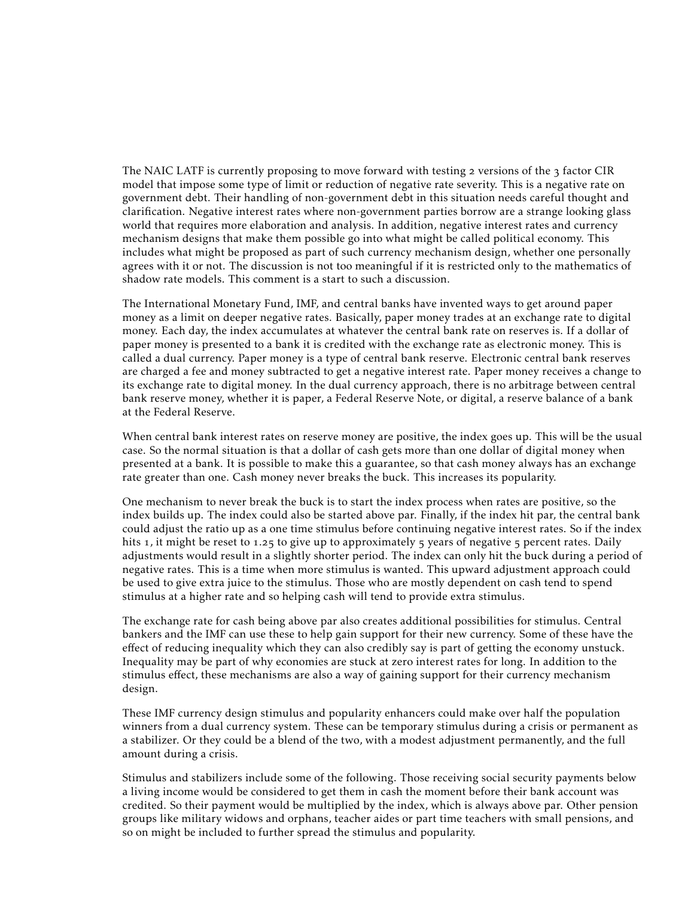The NAIC LATF is currently proposing to move forward with testing  $\alpha$  versions of the  $\alpha$  factor CIR model that impose some type of limit or reduction of negative rate severity. This is a negative rate on government debt. Their handling of non-government debt in this situation needs careful thought and clarification. Negative interest rates where non-government parties borrow are a strange looking glass world that requires more elaboration and analysis. In addition, negative interest rates and currency mechanism designs that make them possible go into what might be called political economy. This includes what might be proposed as part of such currency mechanism design, whether one personally agrees with it or not. The discussion is not too meaningful if it is restricted only to the mathematics of shadow rate models. This comment is a start to such a discussion.

The International Monetary Fund, IMF, and central banks have invented ways to get around paper money as a limit on deeper negative rates. Basically, paper money trades at an exchange rate to digital money. Each day, the index accumulates at whatever the central bank rate on reserves is. If a dollar of paper money is presented to a bank it is credited with the exchange rate as electronic money. This is called a dual currency. Paper money is a type of central bank reserve. Electronic central bank reserves are charged a fee and money subtracted to get a negative interest rate. Paper money receives a change to its exchange rate to digital money. In the dual currency approach, there is no arbitrage between central bank reserve money, whether it is paper, a Federal Reserve Note, or digital, a reserve balance of a bank at the Federal Reserve.

When central bank interest rates on reserve money are positive, the index goes up. This will be the usual case. So the normal situation is that a dollar of cash gets more than one dollar of digital money when presented at a bank. It is possible to make this a guarantee, so that cash money always has an exchange rate greater than one. Cash money never breaks the buck. This increases its popularity.

One mechanism to never break the buck is to start the index process when rates are positive, so the index builds up. The index could also be started above par. Finally, if the index hit par, the central bank could adjust the ratio up as a one time stimulus before continuing negative interest rates. So if the index hits 1, it might be reset to 1.25 to give up to approximately 5 years of negative 5 percent rates. Daily adjustments would result in a slightly shorter period. The index can only hit the buck during a period of negative rates. This is a time when more stimulus is wanted. This upward adjustment approach could be used to give extra juice to the stimulus. Those who are mostly dependent on cash tend to spend stimulus at a higher rate and so helping cash will tend to provide extra stimulus.

The exchange rate for cash being above par also creates additional possibilities for stimulus. Central bankers and the IMF can use these to help gain support for their new currency. Some of these have the effect of reducing inequality which they can also credibly say is part of getting the economy unstuck. Inequality may be part of why economies are stuck at zero interest rates for long. In addition to the stimulus effect, these mechanisms are also a way of gaining support for their currency mechanism design.

These IMF currency design stimulus and popularity enhancers could make over half the population winners from a dual currency system. These can be temporary stimulus during a crisis or permanent as a stabilizer. Or they could be a blend of the two, with a modest adjustment permanently, and the full amount during a crisis.

Stimulus and stabilizers include some of the following. Those receiving social security payments below a living income would be considered to get them in cash the moment before their bank account was credited. So their payment would be multiplied by the index, which is always above par. Other pension groups like military widows and orphans, teacher aides or part time teachers with small pensions, and so on might be included to further spread the stimulus and popularity.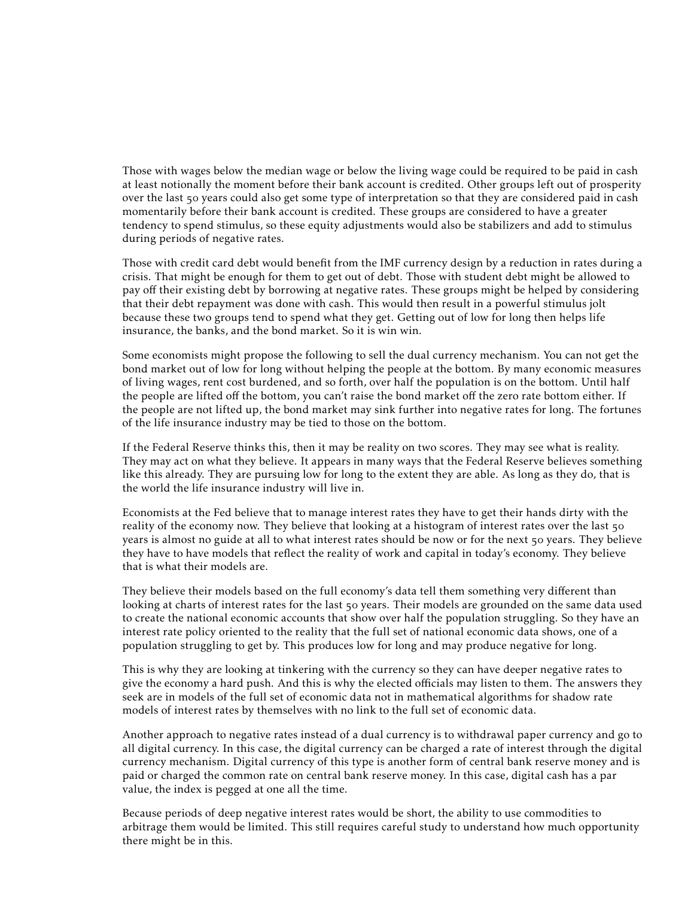Those with wages below the median wage or below the living wage could be required to be paid in cash at least notionally the moment before their bank account is credited. Other groups left out of prosperity over the last 50 years could also get some type of interpretation so that they are considered paid in cash momentarily before their bank account is credited. These groups are considered to have a greater tendency to spend stimulus, so these equity adjustments would also be stabilizers and add to stimulus during periods of negative rates.

Those with credit card debt would benefit from the IMF currency design by a reduction in rates during a crisis. That might be enough for them to get out of debt. Those with student debt might be allowed to pay off their existing debt by borrowing at negative rates. These groups might be helped by considering that their debt repayment was done with cash. This would then result in a powerful stimulus jolt because these two groups tend to spend what they get. Getting out of low for long then helps life insurance, the banks, and the bond market. So it is win win.

Some economists might propose the following to sell the dual currency mechanism. You can not get the bond market out of low for long without helping the people at the bottom. By many economic measures of living wages, rent cost burdened, and so forth, over half the population is on the bottom. Until half the people are lifted off the bottom, you can't raise the bond market off the zero rate bottom either. If the people are not lifted up, the bond market may sink further into negative rates for long. The fortunes of the life insurance industry may be tied to those on the bottom.

If the Federal Reserve thinks this, then it may be reality on two scores. They may see what is reality. They may act on what they believe. It appears in many ways that the Federal Reserve believes something like this already. They are pursuing low for long to the extent they are able. As long as they do, that is the world the life insurance industry will live in.

Economists at the Fed believe that to manage interest rates they have to get their hands dirty with the reality of the economy now. They believe that looking at a histogram of interest rates over the last 50 years is almost no guide at all to what interest rates should be now or for the next 50 years. They believe they have to have models that reflect the reality of work and capital in today's economy. They believe that is what their models are.

They believe their models based on the full economy's data tell them something very different than looking at charts of interest rates for the last 50 years. Their models are grounded on the same data used to create the national economic accounts that show over half the population struggling. So they have an interest rate policy oriented to the reality that the full set of national economic data shows, one of a population struggling to get by. This produces low for long and may produce negative for long.

This is why they are looking at tinkering with the currency so they can have deeper negative rates to give the economy a hard push. And this is why the elected officials may listen to them. The answers they seek are in models of the full set of economic data not in mathematical algorithms for shadow rate models of interest rates by themselves with no link to the full set of economic data.

Another approach to negative rates instead of a dual currency is to withdrawal paper currency and go to all digital currency. In this case, the digital currency can be charged a rate of interest through the digital currency mechanism. Digital currency of this type is another form of central bank reserve money and is paid or charged the common rate on central bank reserve money. In this case, digital cash has a par value, the index is pegged at one all the time.

Because periods of deep negative interest rates would be short, the ability to use commodities to arbitrage them would be limited. This still requires careful study to understand how much opportunity there might be in this.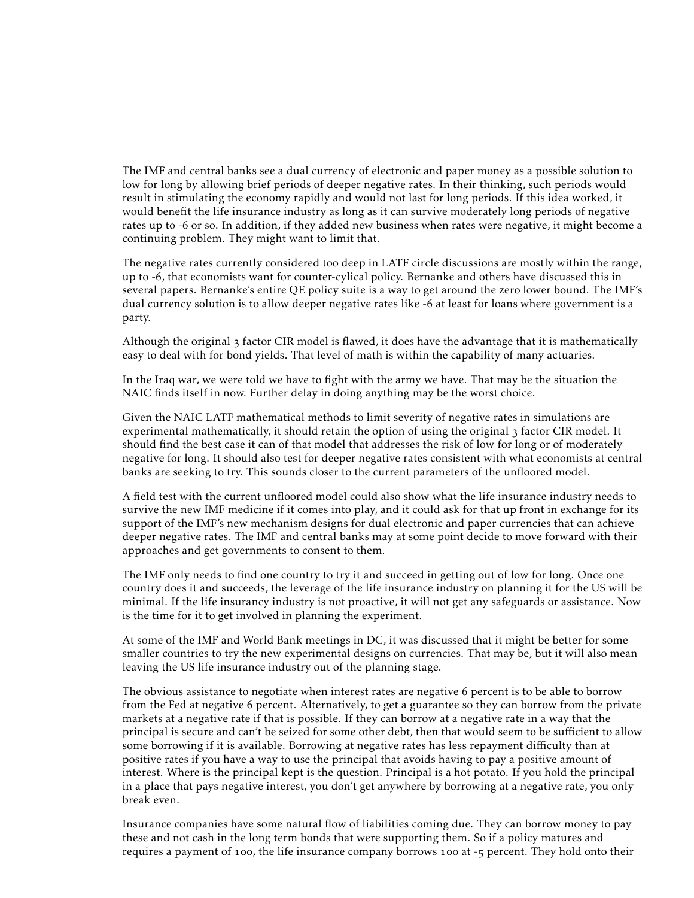The IMF and central banks see a dual currency of electronic and paper money as a possible solution to low for long by allowing brief periods of deeper negative rates. In their thinking, such periods would result in stimulating the economy rapidly and would not last for long periods. If this idea worked, it would benefit the life insurance industry as long as it can survive moderately long periods of negative rates up to -6 or so. In addition, if they added new business when rates were negative, it might become a continuing problem. They might want to limit that.

The negative rates currently considered too deep in LATF circle discussions are mostly within the range, up to -6, that economists want for counter-cylical policy. Bernanke and others have discussed this in several papers. Bernanke's entire QE policy suite is a way to get around the zero lower bound. The IMF's dual currency solution is to allow deeper negative rates like -6 at least for loans where government is a party.

Although the original factor CIR model is flawed, it does have the advantage that it is mathematically easy to deal with for bond yields. That level of math is within the capability of many actuaries.

In the Iraq war, we were told we have to fight with the army we have. That may be the situation the NAIC finds itself in now. Further delay in doing anything may be the worst choice.

Given the NAIC LATF mathematical methods to limit severity of negative rates in simulations are experimental mathematically, it should retain the option of using the original factor CIR model. It should find the best case it can of that model that addresses the risk of low for long or of moderately negative for long. It should also test for deeper negative rates consistent with what economists at central banks are seeking to try. This sounds closer to the current parameters of the unfloored model.

A field test with the current unfloored model could also show what the life insurance industry needs to survive the new IMF medicine if it comes into play, and it could ask for that up front in exchange for its support of the IMF's new mechanism designs for dual electronic and paper currencies that can achieve deeper negative rates. The IMF and central banks may at some point decide to move forward with their approaches and get governments to consent to them.

The IMF only needs to find one country to try it and succeed in getting out of low for long. Once one country does it and succeeds, the leverage of the life insurance industry on planning it for the US will be minimal. If the life insurancy industry is not proactive, it will not get any safeguards or assistance. Now is the time for it to get involved in planning the experiment.

At some of the IMF and World Bank meetings in DC, it was discussed that it might be better for some smaller countries to try the new experimental designs on currencies. That may be, but it will also mean leaving the US life insurance industry out of the planning stage.

The obvious assistance to negotiate when interest rates are negative 6 percent is to be able to borrow from the Fed at negative 6 percent. Alternatively, to get a guarantee so they can borrow from the private markets at a negative rate if that is possible. If they can borrow at a negative rate in a way that the principal is secure and can't be seized for some other debt, then that would seem to be sufficient to allow some borrowing if it is available. Borrowing at negative rates has less repayment difficulty than at positive rates if you have a way to use the principal that avoids having to pay a positive amount of interest. Where is the principal kept is the question. Principal is a hot potato. If you hold the principal in a place that pays negative interest, you don't get anywhere by borrowing at a negative rate, you only break even.

Insurance companies have some natural flow of liabilities coming due. They can borrow money to pay these and not cash in the long term bonds that were supporting them. So if a policy matures and requires a payment of 100, the life insurance company borrows 100 at -5 percent. They hold onto their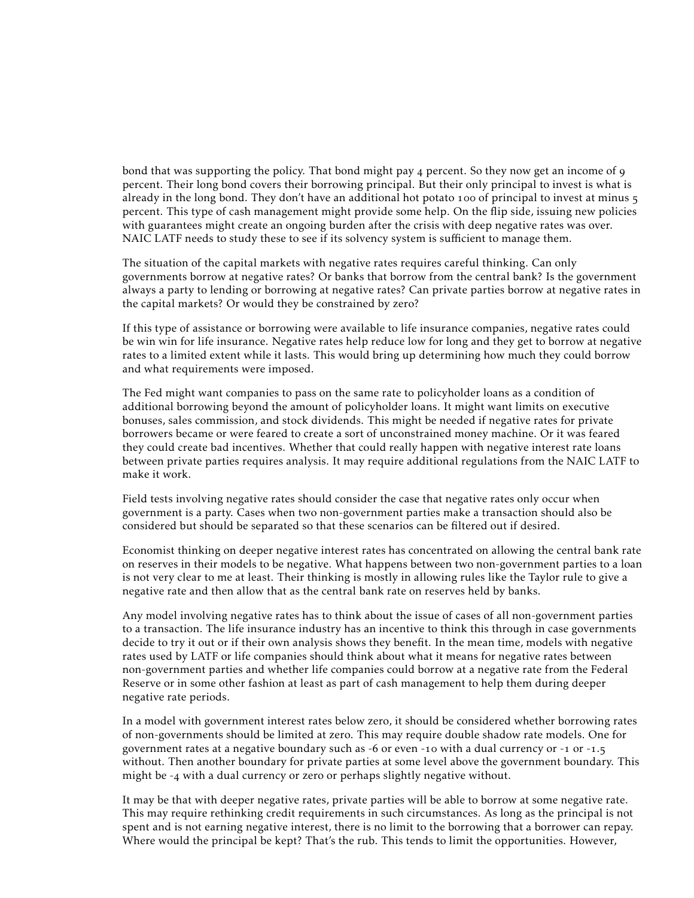bond that was supporting the policy. That bond might pay  $\frac{1}{4}$  percent. So they now get an income of  $\frac{1}{9}$ percent. Their long bond covers their borrowing principal. But their only principal to invest is what is already in the long bond. They don't have an additional hot potato  $100$  of principal to invest at minus  $5$ percent. This type of cash management might provide some help. On the flip side, issuing new policies with guarantees might create an ongoing burden after the crisis with deep negative rates was over. NAIC LATF needs to study these to see if its solvency system is sufficient to manage them.

The situation of the capital markets with negative rates requires careful thinking. Can only governments borrow at negative rates? Or banks that borrow from the central bank? Is the government always a party to lending or borrowing at negative rates? Can private parties borrow at negative rates in the capital markets? Or would they be constrained by zero?

If this type of assistance or borrowing were available to life insurance companies, negative rates could be win win for life insurance. Negative rates help reduce low for long and they get to borrow at negative rates to a limited extent while it lasts. This would bring up determining how much they could borrow and what requirements were imposed.

The Fed might want companies to pass on the same rate to policyholder loans as a condition of additional borrowing beyond the amount of policyholder loans. It might want limits on executive bonuses, sales commission, and stock dividends. This might be needed if negative rates for private borrowers became or were feared to create a sort of unconstrained money machine. Or it was feared they could create bad incentives. Whether that could really happen with negative interest rate loans between private parties requires analysis. It may require additional regulations from the NAIC LATF to make it work.

Field tests involving negative rates should consider the case that negative rates only occur when government is a party. Cases when two non-government parties make a transaction should also be considered but should be separated so that these scenarios can be filtered out if desired.

Economist thinking on deeper negative interest rates has concentrated on allowing the central bank rate on reserves in their models to be negative. What happens between two non-government parties to a loan is not very clear to me at least. Their thinking is mostly in allowing rules like the Taylor rule to give a negative rate and then allow that as the central bank rate on reserves held by banks.

Any model involving negative rates has to think about the issue of cases of all non-government parties to a transaction. The life insurance industry has an incentive to think this through in case governments decide to try it out or if their own analysis shows they benefit. In the mean time, models with negative rates used by LATF or life companies should think about what it means for negative rates between non-government parties and whether life companies could borrow at a negative rate from the Federal Reserve or in some other fashion at least as part of cash management to help them during deeper negative rate periods.

In a model with government interest rates below zero, it should be considered whether borrowing rates of non-governments should be limited at zero. This may require double shadow rate models. One for government rates at a negative boundary such as  $-6$  or even  $-1$  o with a dual currency or  $-1$  or  $-1$ . $-5$ without. Then another boundary for private parties at some level above the government boundary. This might be  $-4$  with a dual currency or zero or perhaps slightly negative without.

It may be that with deeper negative rates, private parties will be able to borrow at some negative rate. This may require rethinking credit requirements in such circumstances. As long as the principal is not spent and is not earning negative interest, there is no limit to the borrowing that a borrower can repay. Where would the principal be kept? That's the rub. This tends to limit the opportunities. However,